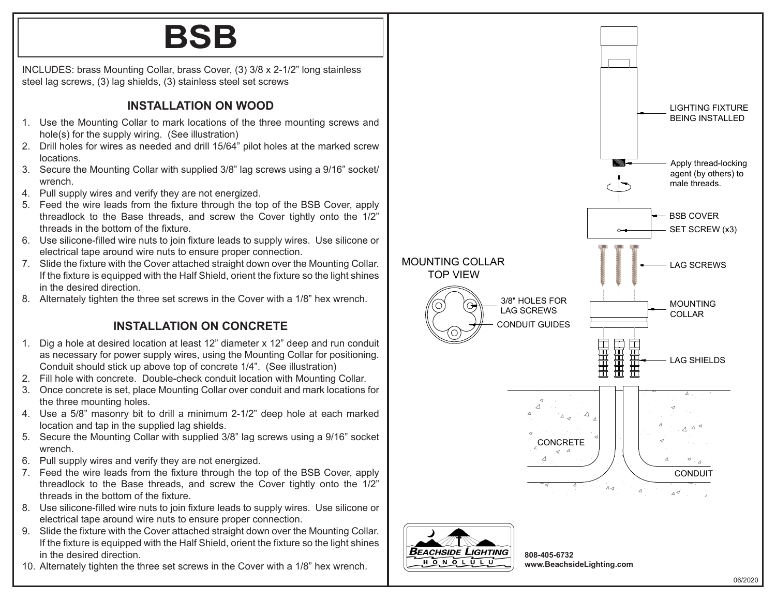## **BSB**

INCLUDES: brass Mounting Collar, brass Cover, (3) 3/8 x 2-1/2" long stainless steel lag screws, (3) lag shields, (3) stainless steel set screws

## **INSTALLATION ON WOOD**

- 1. Use the Mounting Collar to mark locations of the three mounting screws and hole(s) for the supply wiring. (See illustration)
- 2. Drill holes for wires as needed and drill 15/64" pilot holes at the marked screw locations.
- 3. Secure the Mounting Collar with supplied 3/8" lag screws using a 9/16" socket/ wrench.
- 4. Pull supply wires and verify they are not energized.
- 5. Feed the wire leads from the fixture through the top of the BSB Cover, apply threadlock to the Base threads, and screw the Cover tightly onto the 1/2" threads in the bottom of the fixture.
- 6. Use silicone-filled wire nuts to join fixture leads to supply wires. Use silicone or electrical tape around wire nuts to ensure proper connection.
- 7. Slide the fixture with the Cover attached straight down over the Mounting Collar. If the fixture is equipped with the Half Shield, orient the fixture so the light shines in the desired direction.
- 8. Alternately tighten the three set screws in the Cover with a 1/8" hex wrench.

## **INSTALLATION ON CONCRETE**

- 1. Dig a hole at desired location at least 12" diameter x 12" deep and run conduit as necessary for power supply wires, using the Mounting Collar for positioning. Conduit should stick up above top of concrete 1/4". (See illustration)
- 2. Fill hole with concrete. Double-check conduit location with Mounting Collar.
- 3. Once concrete is set, place Mounting Collar over conduit and mark locations for the three mounting holes.
- 4. Use a 5/8" masonry bit to drill a minimum 2-1/2" deep hole at each marked location and tap in the supplied lag shields.
- 5. Secure the Mounting Collar with supplied 3/8" lag screws using a 9/16" socket wrench.
- 6. Pull supply wires and verify they are not energized.
- 7. Feed the wire leads from the fixture through the top of the BSB Cover, apply threadlock to the Base threads, and screw the Cover tightly onto the 1/2" threads in the bottom of the fixture.
- 8. Use silicone-filled wire nuts to join fixture leads to supply wires. Use silicone or electrical tape around wire nuts to ensure proper connection.
- 9. Slide the fixture with the Cover attached straight down over the Mounting Collar. If the fixture is equipped with the Half Shield, orient the fixture so the light shines in the desired direction.
- 10. Alternately tighten the three set screws in the Cover with a 1/8" hex wrench.



**808-405-6732** 

HONOLULU

**www.BeachsideLighting.com**